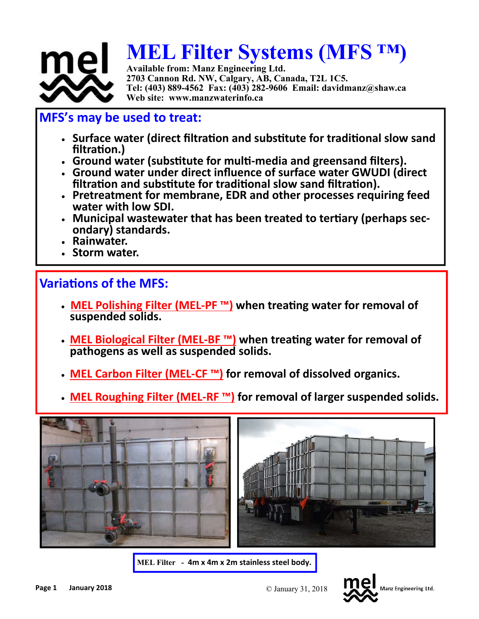

# **MEL Filter Systems (MFS ™)**

**Available from: Manz Engineering Ltd. 2703 Cannon Rd. NW, Calgary, AB, Canada, T2L 1C5. Tel: (403) 889-4562 Fax: (403) 282-9606 Email: davidmanz@shaw.ca Web site: www.manzwaterinfo.ca** 

## **MFS's may be used to treat:**

- **Surface water (direct filtraƟon and subsƟtute for tradiƟonal slow sand filtraƟon.)**
- **Ground water (subsƟtute for mulƟ‐media and greensand filters).**
- **Ground water under direct influence of surface water GWUDI (direct**  filtration and substitute for traditional slow sand filtration).
- **Pretreatment for membrane, EDR and other processes requiring feed water with low SDI.**
- **Municipal wastewater that has been treated to terƟary (perhaps sec‐ ondary) standards.**
- **Rainwater.**
- **Storm water.**

# **Variations of the MFS:**

- **MEL Polishing Filter (MEL-PF ™) when treating water for removal of suspended solids.**
- MEL Biological Filter (MEL-BF<sup>™</sup>) when treating water for removal of **pathogens as well as suspended solids.**
- **MEL Carbon Filter (MEL‐CF ™) for removal of dissolved organics.**
- **MEL Roughing Filter (MEL‐RF ™) for removal of larger suspended solids.**





**MEL Filter - 4m x 4m x 2m stainless steel body.**



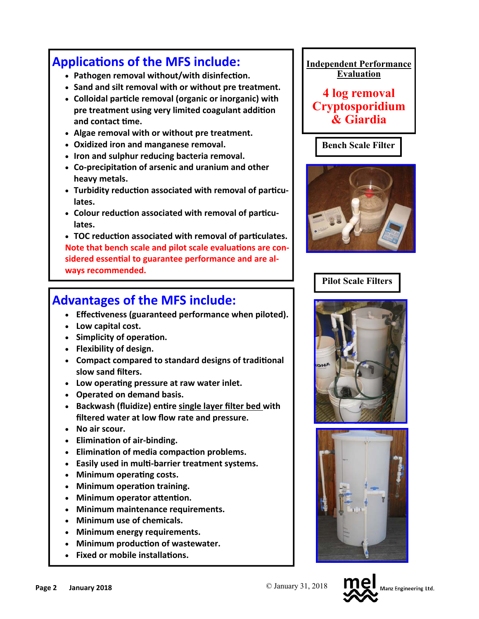# **Applications of the MFS include:**

- **Pathogen removal without/with disinfection.**
- **Sand and silt removal with or without pre treatment.**
- **Colloidal parƟcle removal (organic or inorganic) with**  pre treatment using very limited coagulant addition **and contact Ɵme.**
- **Algae removal with or without pre treatment.**
- **Oxidized iron and manganese removal.**
- **Iron and sulphur reducing bacteria removal.**
- **Co‐precipitaƟon of arsenic and uranium and other heavy metals.**
- **Turbidity reduction associated with removal of particulates.**
- **Colour reduction associated with removal of particulates.**

• TOC reduction associated with removal of particulates. **Note that bench scale and pilot scale evaluations are con**sidered essential to guarantee performance and are al**ways recommended.** 

# **Advantages of the MFS include:**

- **Effectiveness (guaranteed performance when piloted).**
- **Low capital cost.**
- **Simplicity of operaƟon.**
- **Flexibility of design.**
- **Compact compared to standard designs of traditional slow sand filters.**
- **Low operaƟng pressure at raw water inlet.**
- **Operated on demand basis.**
- **Backwash (fluidize) entire single layer filter bed with filtered water at low flow rate and pressure.**
- **No air scour.**
- **EliminaƟon of air‐binding.**
- **Elimination of media compaction problems.**
- **Easily used in mulƟ‐barrier treatment systems.**
- **•** Minimum operating costs.
- **Minimum operaƟon training.**
- **•** Minimum operator attention.
- **Minimum maintenance requirements.**
- **Minimum use of chemicals.**
- **Minimum energy requirements.**
- **Minimum producƟon of wastewater.**
- **Fixed or mobile installaƟons.**

**Independent Performance Evaluation** 

## **4 log removal Cryptosporidium & Giardia**

**Bench Scale Filter** 



## **Pilot Scale Filters**





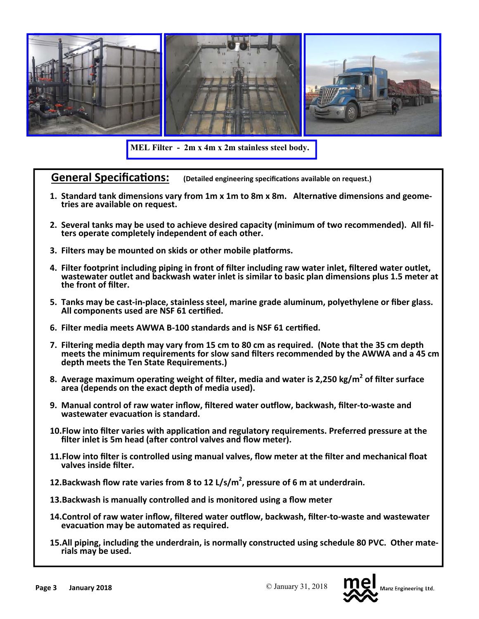

**MEL Filter - 2m x 4m x 2m stainless steel body.** 

**General Specifications:** (Detailed engineering specifications available on request.)

- 1. Standard tank dimensions vary from 1m x 1m to 8m x 8m. Alternative dimensions and geome**tries are available on request.**
- **2. Several tanks may be used to achieve desired capacity (minimum of two recommended). All fil‐ ters operate completely independent of each other.**
- **3. Filters may be mounted on skids or other mobile platforms.**
- **4. Filter footprint including piping in front of filter including raw water inlet, filtered water outlet, wastewater outlet and backwash water inlet is similar to basic plan dimensions plus 1.5 meter at the front of filter.**
- **5. Tanks may be cast‐in‐place, stainless steel, marine grade aluminum, polyethylene or fiber glass.**  All components used are NSF 61 certified.
- **6. Filter media meets AWWA B-100 standards and is NSF 61 certified.**
- **7. Filtering media depth may vary from 15 cm to 80 cm as required. (Note that the 35 cm depth meets the minimum requirements for slow sand filters recommended by the AWWA and a 45 cm depth meets the Ten State Requirements.)**
- **8. Average maximum operaƟng weight of filter, media and water is 2,250 kg/m<sup>2</sup> of filter surface area (depends on the exact depth of media used).**
- **9. Manual control of raw water inflow, filtered water ouƞlow, backwash, filter‐to‐waste and wastewater evacuaƟon is standard.**
- 10. Flow into filter varies with application and regulatory requirements. Preferred pressure at the filter inlet is 5m head (after control valves and flow meter).
- **11.Flow into filter is controlled using manual valves, flow meter at the filter and mechanical float valves inside filter.**
- **12.Backwash flow rate varies from 8 to 12 L/s/m<sup>2</sup> , pressure of 6 m at underdrain.**
- **13.Backwash is manually controlled and is monitored using a flow meter**
- **14.Control of raw water inflow, filtered water ouƞlow, backwash, filter‐to‐waste and wastewater evacuaƟon may be automated as required.**
- **15.All piping, including the underdrain, is normally constructed using schedule 80 PVC. Other mate‐ rials may be used.**